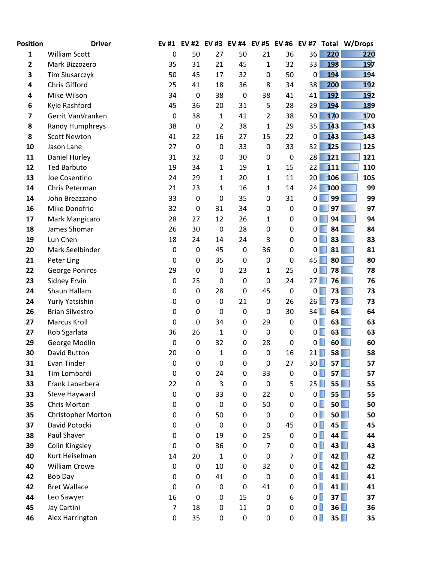| <b>Position</b> | <b>Driver</b>                | Ev #1          | <b>EV#2</b>      | <b>EV#3</b>       | <b>EV #4</b>     | <b>EV#5</b> | EV #6            | <b>EV #7</b>                     |            | Total W/Drops |
|-----------------|------------------------------|----------------|------------------|-------------------|------------------|-------------|------------------|----------------------------------|------------|---------------|
| $\mathbf{1}$    | <b>William Scott</b>         | 0              | 50               | 27                | 50               | 21          | 36               | 36                               | 220        | 220           |
| 2               | Mark Bizzozero               | 35             | 31               | 21                | 45               | 1           | 32               | 33                               | 198        | 197           |
| 3               | Tim Slusarczyk               | 50             | 45               | 17                | 32               | 0           | 50               | $\pmb{0}$                        | 194        | 194           |
| 4               | Chris Gifford                | 25             | 41               | 18                | 36               | 8           | 34               | 38                               | 200        | 192           |
| 4               | Mike Wilson                  | 34             | 0                | 38                | $\mathbf 0$      | 38          | 41               | 41                               | <b>192</b> | <b>192</b>    |
| 6               | Kyle Rashford                | 45             | 36               | 20                | 31               | 5           | 28               | 29                               | 194        | 189           |
| 7               | Gerrit VanVranken            | $\pmb{0}$      | 38               | 1                 | 41               | 2           | 38               | 50                               | <b>170</b> | 170           |
| 8               | Randy Humphreys              | 38             | $\mathbf 0$      | $\overline{2}$    | 38               | 1           | 29               | 35                               | 143        | 143           |
| 8               | <b>Scott Newton</b>          | 41             | 22               | 16                | 27               | 15          | 22               | $\mathbf 0$                      | 143        | 143           |
| 10              | Jason Lane                   | 27             | $\mathbf 0$      | 0                 | 33               | 0           | 33               | 32                               | 125        | 125           |
| 11              | Daniel Hurley                | 31             | 32               | 0                 | 30               | 0           | $\boldsymbol{0}$ | 28                               | 121        | 121           |
| 12              | <b>Ted Barbuto</b>           | 19             | 34               | 1                 | 19               | 1           | 15               | 22                               | 111        | 110           |
| 13              | Joe Cosentino                | 24             | 29               | 1                 | 20               | 1           | 11               | 20                               | 106        | 105           |
| 14              | Chris Peterman               | 21             | 23               | 1                 | 16               | 1           | 14               | 24                               | 100        | 99            |
| 14              | John Breazzano               | 33             | $\mathbf 0$      | 0                 | 35               | 0           | 31               | $\mathbf{0}$                     | 99         | 99            |
| 16              | Mike Donofrio                | 32             | $\mathbf 0$      | 31                | 34               | $\pmb{0}$   | 0                | 0                                | 97         | 97            |
| 17              | Mark Mangicaro               | 28             | 27               | 12                | 26               | 1           | 0                | 0                                | 94         | 94            |
| 18              | James Shomar                 | 26             | 30               | $\pmb{0}$         | 28               | 0           | 0                | 0                                | 84         | 84            |
| 19              | Lun Chen                     | 18             | 24               | 14                | 24               | 3           | 0                | 0                                | 83         | 83            |
| 20              | Mark Seelbinder              | $\pmb{0}$      | $\mathbf 0$      | 45                | $\pmb{0}$        | 36          | 0                | 0                                | 81         | 81            |
| 21              | Peter Ling                   | 0              | $\mathbf 0$      | 35                | $\mathbf 0$      | $\pmb{0}$   | 0                | 45                               | 80         | 80            |
| 22              | George Poniros               | 29             | $\mathbf 0$      | $\pmb{0}$         | 23               | 1           | 25               | 0                                | 78         | 78            |
| 23              | <b>Sidney Ervin</b>          | 0              | 25               | $\pmb{0}$         | $\mathbf 0$      | $\mathbf 0$ | 24               | 27                               | 76         | 76            |
| 24              | Shaun Hallam                 | 0              | 0                | 28                | $\mathbf 0$      | 45          | $\boldsymbol{0}$ | 0                                | 73         | 73            |
| 24              | Yuriy Yatsishin              | 0              | 0                | $\pmb{0}$         | 21               | $\pmb{0}$   | 26               | 26                               | 73         | 73            |
| 26              | <b>Brian Silvestro</b>       | 0              | $\boldsymbol{0}$ | $\pmb{0}$         | $\pmb{0}$        | $\pmb{0}$   | 30               | 34                               | 64         | 64            |
| 27              | Marcus Kroll                 | 0              | 0                | 34                | 0                | 29          | 0                | 0 <sub>l</sub>                   | 63         | 63            |
| 27              | Rob Sgarlata                 | 36             | 26               | $\mathbf{1}$      | $\mathbf 0$      | $\pmb{0}$   | 0                | 0 <sup>2</sup>                   | 63         | 63            |
| 29              | George Modlin                | 0              | 0                | 32                | 0                | 28          | 0                | $\overline{0}$                   | 60         | 60            |
| 30              | David Button                 | 20             | $\mathbf 0$      | $\mathbf{1}$      | $\mathbf 0$      | 0           | 16               | 21                               | 58         | 58            |
| 31              | Evan Tinder                  | 0              | 0                | $\mathbf 0$       | 0                | 0           | 27               | $30$ $\Box$                      | 57         | 57            |
| 31              | Tim Lombardi                 | 0              | 0                | 24                | 0                | 33          | 0                | $0\Box$                          | 57         | 57            |
| 33              | Frank Labarbera              | 22             | $\mathbf 0$      | 3                 | $\mathbf 0$      | $\pmb{0}$   | 5                | 25                               | 55         | 55<br>٠       |
| 33              | Steve Hayward                | $\pmb{0}$      | 0                | 33                | 0                | 22          | 0                | $\overline{0}$                   | 55         | 55            |
| 35              | <b>Chris Morton</b>          | 0              | $\boldsymbol{0}$ | $\boldsymbol{0}$  | $\mathbf 0$      | 50          | 0                | $\overline{0}$                   | 50         | 50            |
| 35<br>37        | <b>Christopher Morton</b>    | 0              | 0<br>$\mathbf 0$ | 50<br>$\mathbf 0$ | 0                | 0           | 0<br>45          | $\overline{0}$<br>$\overline{0}$ | 50<br>45   | 50<br>45      |
| 38              | David Potocki<br>Paul Shaver | 0<br>0         | $\mathbf 0$      | 19                | 0<br>$\mathbf 0$ | 0<br>25     | 0                | $\overline{0}$                   | 44         | 44            |
| 39              | Colin Kingsley               | 0              | 0                | 36                | 0                | 7           | 0                | $\overline{0}$                   | 43         | 43            |
| 40              | Kurt Heiselman               | 14             | 20               | $\mathbf 1$       | $\mathbf 0$      | $\pmb{0}$   | $\overline{7}$   | $\overline{0}$                   | 42         | 42            |
| 40              | <b>William Crowe</b>         | $\pmb{0}$      | 0                | 10                | 0                | 32          | 0                | $\overline{0}$                   | 42         | 42            |
| 42              | <b>Bob Day</b>               | 0              | $\mathbf 0$      | 41                | $\mathbf 0$      | $\pmb{0}$   | 0                | $\overline{0}$                   | 41         | 41            |
| 42              | <b>Bret Wallace</b>          | 0              | 0                | 0                 | $\pmb{0}$        | 41          | 0                | $\overline{0}$                   | 41         | 41            |
| 44              | Leo Sawyer                   | 16             | $\mathbf 0$      | 0                 | 15               | $\pmb{0}$   | 6                | $\overline{0}$                   | 37         | 37            |
| 45              | Jay Cartini                  | $\overline{7}$ | 18               | $\pmb{0}$         | 11               | 0           | 0                | $\overline{0}$                   | 36         | 36            |
| 46              | Alex Harrington              | 0              | 35               | 0                 | $\pmb{0}$        | 0           | 0                | $\overline{\mathbf{0}}$          | 35         | 35            |
|                 |                              |                |                  |                   |                  |             |                  |                                  |            |               |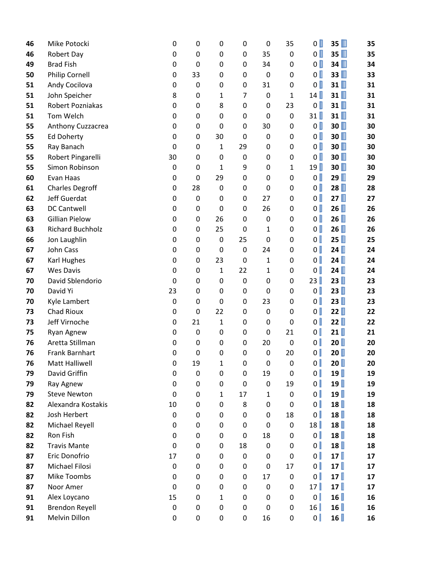| 46 | Mike Potocki            | 0           | 0           | 0            | 0                | $\mathbf 0$  | 35           | $\overline{0}$ | 35 | 35 |
|----|-------------------------|-------------|-------------|--------------|------------------|--------------|--------------|----------------|----|----|
| 46 | Robert Day              | 0           | 0           | 0            | 0                | 35           | $\mathbf 0$  | $\mathbf{0}$   | 35 | 35 |
| 49 | <b>Brad Fish</b>        | 0           | $\mathbf 0$ | 0            | 0                | 34           | 0            | $\overline{0}$ | 34 | 34 |
| 50 | <b>Philip Cornell</b>   | 0           | 33          | 0            | 0                | 0            | 0            | $\overline{0}$ | 33 | 33 |
| 51 | Andy Cocilova           | 0           | $\mathbf 0$ | 0            | 0                | 31           | $\mathbf 0$  | $\overline{0}$ | 31 | 31 |
| 51 | John Speicher           | 8           | 0           | 1            | 7                | 0            | $\mathbf{1}$ | 14             | 31 | 31 |
| 51 | Robert Pozniakas        | 0           | 0           | 8            | 0                | 0            | 23           | $\overline{0}$ | 31 | 31 |
| 51 | Tom Welch               | 0           | 0           | 0            | 0                | $\mathbf 0$  | 0            | 31             | 31 | 31 |
| 55 | Anthony Cuzzacrea       | 0           | $\mathbf 0$ | 0            | 0                | 30           | 0            | $\mathbf{0}$   | 30 | 30 |
| 55 | <b>Ed Doherty</b>       | 0           | $\mathbf 0$ | 30           | $\mathbf 0$      | $\mathbf 0$  | $\mathbf 0$  | $\mathbf{0}$   | 30 | 30 |
| 55 | Ray Banach              | $\mathbf 0$ | 0           | $\mathbf{1}$ | 29               | 0            | 0            | $\mathbf{0}$   | 30 | 30 |
| 55 | Robert Pingarelli       | 30          | 0           | 0            | $\mathbf 0$      | 0            | 0            | $\overline{0}$ | 30 | 30 |
| 55 | Simon Robinson          | 0           | 0           | 1            | 9                | 0            | $\mathbf{1}$ | 19             | 30 | 30 |
| 60 | Evan Haas               | 0           | $\pmb{0}$   | 29           | 0                | 0            | 0            | $\mathbf{0}$   | 29 | 29 |
| 61 | <b>Charles Degroff</b>  | 0           | 28          | 0            | 0                | 0            | 0            | $\mathbf{0}$   | 28 | 28 |
| 62 | Jeff Guerdat            | 0           | $\pmb{0}$   | 0            | 0                | 27           | 0            | $\mathbf{0}$   | 27 | 27 |
| 63 | <b>DC Cantwell</b>      | 0           | $\pmb{0}$   | $\mathbf 0$  | 0                | 26           | 0            | $\mathbf{0}$   | 26 | 26 |
| 63 | <b>Gillian Pielow</b>   | 0           | $\mathbf 0$ | 26           | 0                | $\mathbf 0$  | 0            | $\mathbf{0}$   | 26 | 26 |
| 63 | <b>Richard Buchholz</b> | 0           | $\mathbf 0$ | 25           | 0                | 1            | 0            | $\mathbf{0}$   | 26 | 26 |
| 66 | Jon Laughlin            | 0           | 0           | 0            | 25               | 0            | 0            | $\overline{0}$ | 25 | 25 |
| 67 | John Cass               | 0           | 0           | 0            | $\pmb{0}$        | 24           | 0            | $\mathbf{0}$   | 24 | 24 |
| 67 | Karl Hughes             | 0           | $\mathbf 0$ | 23           | $\mathbf 0$      | $\mathbf 1$  | 0            | $\mathbf{0}$   | 24 | 24 |
| 67 | <b>Wes Davis</b>        | 0           | $\pmb{0}$   | $\mathbf{1}$ | 22               | 1            | 0            | $\mathbf{0}$   | 24 | 24 |
| 70 | David Sblendorio        | $\mathbf 0$ | $\pmb{0}$   | 0            | $\boldsymbol{0}$ | 0            | $\mathbf 0$  | 23             | 23 | 23 |
| 70 | David Yi                | 23          | 0           | 0            | 0                | 0            | 0            | $\mathbf{0}$   | 23 | 23 |
| 70 | Kyle Lambert            | 0           | 0           | 0            | 0                | 23           | 0            | $\mathbf{0}$   | 23 | 23 |
| 73 | Chad Rioux              | 0           | 0           | 22           | 0                | $\mathbf 0$  | $\mathbf 0$  | $\mathbf{0}$   | 22 | 22 |
| 73 | Jeff Virnoche           | 0           | 21          | $\mathbf{1}$ | 0                | $\mathbf 0$  | $\mathbf 0$  | $\mathbf{0}$   | 22 | 22 |
| 75 | Ryan Agnew              | 0           | $\pmb{0}$   | 0            | 0                | $\mathbf 0$  | 21           | $\mathbf{0}$   | 21 | 21 |
| 76 | Aretta Stillman         | 0           | 0           | 0            | 0                | 20           | $\mathbf 0$  | $\mathbf{0}$   | 20 | 20 |
| 76 | <b>Frank Barnhart</b>   | 0           | $\mathbf 0$ | 0            | 0                | $\mathbf 0$  | 20           | $\mathbf{0}$   | 20 | 20 |
| 76 | Matt Halliwell          | 0           | 19          | 1            | 0                | 0            | 0            | $\mathbf{0}$   | 20 | 20 |
| 79 | David Griffin           | 0           | $\mathbf 0$ | 0            | 0                | 19           | 0            | $\mathbf{0}$   | 19 | 19 |
| 79 | Ray Agnew               | 0           | $\mathbf 0$ | 0            | $\pmb{0}$        | $\mathbf 0$  | 19           | $\mathbf{0}$   | 19 | 19 |
| 79 | <b>Steve Newton</b>     | 0           | $\mathbf 0$ | 1            | 17               | $\mathbf{1}$ | 0            | $\mathbf{0}$   | 19 | 19 |
| 82 | Alexandra Kostakis      | 10          | $\pmb{0}$   | 0            | 8                | $\mathbf 0$  | $\mathbf 0$  | $\mathbf{0}$   | 18 | 18 |
| 82 | Josh Herbert            | 0           | 0           | 0            | 0                | 0            | 18           | $\mathbf{0}$   | 18 | 18 |
| 82 | Michael Reyell          | 0           | 0           | 0            | 0                | 0            | 0            | 18             | 18 | 18 |
| 82 | Ron Fish                | 0           | 0           | 0            | $\pmb{0}$        | 18           | 0            | $\mathbf{0}$   | 18 | 18 |
| 82 | <b>Travis Mante</b>     | 0           | 0           | 0            | 18               | 0            | 0            | $\mathbf{0}$   | 18 | 18 |
| 87 | Eric Donofrio           | 17          | $\mathbf 0$ | 0            | $\boldsymbol{0}$ | $\mathbf 0$  | 0            | $\overline{0}$ | 17 | 17 |
| 87 | Michael Filosi          | 0           | 0           | 0            | 0                | 0            | 17           | $\overline{0}$ | 17 | 17 |
| 87 | Mike Toombs             | 0           | $\mathbf 0$ | 0            | $\mathbf 0$      | 17           | 0            | $\overline{0}$ | 17 | 17 |
| 87 | Noor Amer               | 0           | 0           | 0            | $\pmb{0}$        | 0            | 0            | 17             | 17 | 17 |
| 91 | Alex Loycano            | 15          | 0           | 1            | $\mathbf 0$      | 0            | 0            | $\overline{0}$ | 16 | 16 |
| 91 | <b>Brendon Reyell</b>   | $\mathbf 0$ | 0           | 0            | $\mathbf 0$      | 0            | 0            | 16             | 16 | 16 |
| 91 | Melvin Dillon           | 0           | $\mathbf 0$ | 0            | 0                | 16           | 0            | 0 <sup>1</sup> | 16 | 16 |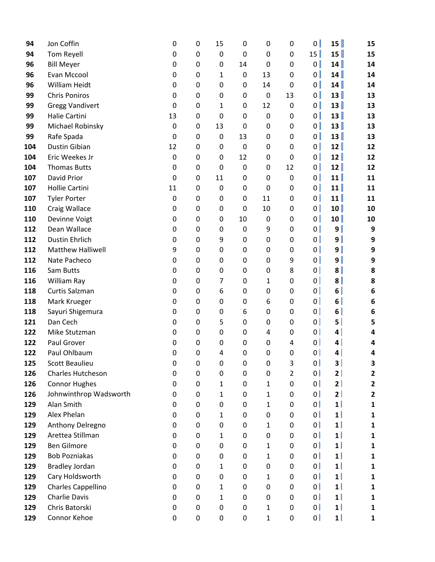| 94         | Jon Coffin                           | 0           | 0                | 15          | 0                | 0           | 0              | $\overline{0}$       | 15                   | 15               |
|------------|--------------------------------------|-------------|------------------|-------------|------------------|-------------|----------------|----------------------|----------------------|------------------|
| 94         | Tom Reyell                           | 0           | $\pmb{0}$        | 0           | 0                | 0           | 0              | 15                   | 15                   | 15               |
| 96         | <b>Bill Meyer</b>                    | $\mathbf 0$ | 0                | $\mathbf 0$ | 14               | 0           | 0              | $\overline{0}$       | 14                   | 14               |
| 96         | Evan Mccool                          | 0           | 0                | 1           | $\pmb{0}$        | 13          | 0              | 0                    | 14                   | 14               |
| 96         | William Heidt                        | 0           | 0                | $\mathbf 0$ | 0                | 14          | $\mathbf 0$    | $\mathbf{0}$         | 14                   | 14               |
| 99         | <b>Chris Poniros</b>                 | 0           | 0                | 0           | 0                | 0           | 13             | $\overline{0}$       | 13                   | 13               |
| 99         | <b>Gregg Vandivert</b>               | 0           | 0                | 1           | 0                | 12          | $\mathbf 0$    | $\overline{0}$       | 13                   | 13               |
| 99         | Halie Cartini                        | 13          | 0                | $\mathbf 0$ | 0                | $\mathbf 0$ | 0              | 0                    | 13                   | 13               |
| 99         | Michael Robinsky                     | 0           | $\pmb{0}$        | 13          | 0                | $\mathbf 0$ | 0              | 0                    | 13                   | 13               |
| 99         | Rafe Spada                           | $\mathbf 0$ | 0                | $\mathbf 0$ | 13               | 0           | $\mathbf 0$    | $\overline{0}$       | 13                   | 13               |
| 104        | Dustin Gibian                        | 12          | 0                | 0           | $\boldsymbol{0}$ | 0           | 0              | $\overline{0}$       | 12                   | 12               |
| 104        | Eric Weekes Jr                       | $\mathbf 0$ | 0                | 0           | 12               | 0           | 0              | $\overline{0}$       | 12                   | 12               |
| 104        | <b>Thomas Butts</b>                  | 0           | 0                | 0           | $\pmb{0}$        | 0           | 12             | $\overline{0}$       | 12                   | 12               |
| 107        | David Prior                          | 0           | $\pmb{0}$        | 11          | 0                | $\mathbf 0$ | $\mathbf 0$    | $\mathbf{0}$         | 11                   | 11               |
| 107        | <b>Hollie Cartini</b>                | 11          | 0                | 0           | 0                | 0           | 0              | $\overline{0}$       | 11                   | 11               |
| 107        | <b>Tyler Porter</b>                  | 0           | 0                | 0           | 0                | 11          | 0              | 0                    | 11                   | 11               |
| 110        | Craig Wallace                        | 0           | 0                | 0           | $\mathbf 0$      | 10          | 0              | 0                    | 10                   | 10               |
| 110        | Devinne Voigt                        | 0           | 0                | 0           | 10               | $\mathbf 0$ | 0              | 0                    | 10                   | 10               |
| 112        | Dean Wallace                         | 0           | 0                | 0           | 0                | 9           | 0              | 0                    | 9 <sup>°</sup>       | 9                |
| 112        | <b>Dustin Ehrlich</b>                | 0           | 0                | 9           | 0                | 0           | 0              | 0                    | ا 9                  | 9                |
| 112        | <b>Matthew Halliwell</b>             | 9           | 0                | 0           | 0                | 0           | 0              | 0                    | 9 <sup>1</sup>       | 9                |
| 112        | Nate Pacheco                         | 0           | $\boldsymbol{0}$ | 0           | $\pmb{0}$        | 0           | 9              | 0                    | 9 <sup>1</sup>       | 9                |
| 116        | Sam Butts                            | 0           | 0                | 0           | 0                | 0           | 8              | $\mathbf{0}$         | 8 <sup>1</sup>       | 8                |
| 116        | William Ray                          | 0           | 0                | 7           | 0                | 1           | $\mathbf 0$    | $\mathbf{0}$         | $\vert$              | 8                |
| 118        | Curtis Salzman                       | 0           | 0                | 6           | 0                | 0           | 0              | $\overline{0}$       | 6 <sup>1</sup>       | 6                |
| 118        | Mark Krueger                         | 0           | 0                | 0           | 0                | 6           | 0              | 0                    | $6 \parallel$        | 6                |
| 118        | Sayuri Shigemura                     | 0           | $\boldsymbol{0}$ | 0           | 6                | 0           | 0              | 0                    | $6 \parallel$        | 6                |
| 121        | Dan Cech                             | 0           | 0                | 5           | 0                | 0           | 0              | 0                    | 5                    | 5                |
| 122        | Mike Stutzman                        | 0           | 0                | 0           | $\pmb{0}$        | 4           | 0              | 0                    | 4                    | 4                |
| 122        | Paul Grover                          | 0           | 0                | 0           | 0                | 0           | 4              | $\overline{0}$       | 4                    | 4                |
| 122        | Paul Ohlbaum                         | $\mathbf 0$ | 0                | 4           | 0                | $\mathbf 0$ | 0              | $\mathbf{0}$         | 4                    | 4                |
| 125        | <b>Scott Beaulieu</b>                | 0           | 0                | 0           | 0                | 0           | 3              | 0                    | 3                    | 3                |
| 126        | <b>Charles Hutcheson</b>             | 0           | 0                | 0           | 0                | 0           | $\overline{2}$ | 0                    | 2                    | 2                |
| 126        | <b>Connor Hughes</b>                 | 0           | $\boldsymbol{0}$ | 1           | 0                | 1           | $\pmb{0}$      | 0                    | 2                    | $\mathbf{2}$     |
| 126        | Johnwinthrop Wadsworth<br>Alan Smith | 0           | 0                | 1           | 0                | 1           | 0              | 0                    | 2                    | $\mathbf{2}$     |
| 129<br>129 | Alex Phelan                          | 0           | $\pmb{0}$        | $\mathbf 0$ | 0                | 1           | 0              | 0 <br>$\overline{0}$ | $1\vert$<br>$1\vert$ | $\mathbf{1}$     |
| 129        | Anthony Delregno                     | 0<br>0      | 0<br>0           | 1<br>0      | 0<br>0           | 0<br>1      | 0<br>0         | 0                    | $1\vert$             | 1<br>1           |
| 129        | Arettea Stillman                     | 0           | $\pmb{0}$        | 1           | 0                | 0           | 0              | 0                    | $\mathbf{1}$         | $\mathbf 1$      |
| 129        | <b>Ben Gilmore</b>                   | 0           | 0                | 0           | 0                | 1           | 0              | 0                    | $1\vert$             | $\mathbf{1}$     |
| 129        | <b>Bob Pozniakas</b>                 | 0           | 0                | 0           | 0                | 1           | $\mathbf 0$    | 0                    | $1\vert$             | 1                |
| 129        | <b>Bradley Jordan</b>                | 0           | 0                | 1           | 0                | 0           | 0              | 0                    | $1\vert$             |                  |
| 129        | Cary Holdsworth                      | 0           | $\pmb{0}$        | 0           | 0                | 1           | 0              | 0                    | $1\vert$             | 1<br>$\mathbf 1$ |
| 129        | Charles Cappellino                   | 0           | 0                | 1           | 0                | 0           | 0              | 0                    | $1\vert$             | $\mathbf{1}$     |
| 129        | Charlie Davis                        | 0           | 0                | 1           | 0                | 0           | 0              | 0                    | $\mathbf{1}$         | $\mathbf{1}$     |
| 129        | Chris Batorski                       | 0           | $\boldsymbol{0}$ | 0           | 0                | 1           | 0              | 0                    | $1\vert$             | $\mathbf{1}$     |
| 129        | Connor Kehoe                         | 0           | $\pmb{0}$        | 0           | 0                | 1           | 0              | 0                    | $1\vert$             | 1                |
|            |                                      |             |                  |             |                  |             |                |                      |                      |                  |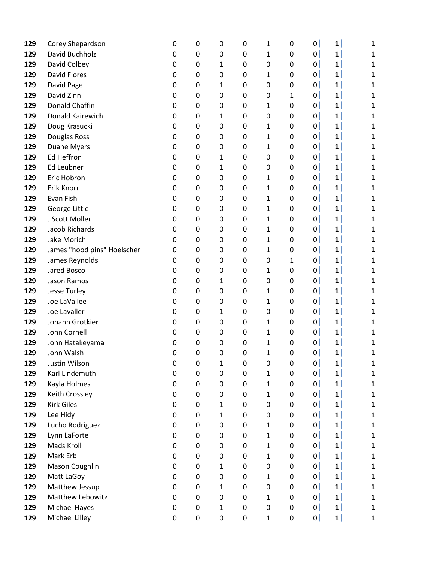| 129        | Corey Shepardson             | 0                | 0           | 0                 | 0      | 1            | 0            | 0                   | $1\vert$                   | 1                            |
|------------|------------------------------|------------------|-------------|-------------------|--------|--------------|--------------|---------------------|----------------------------|------------------------------|
| 129        | David Buchholz               | 0                | 0           | 0                 | 0      | 1            | 0            | 0                   | 1                          | 1                            |
| 129        | David Colbey                 | 0                | 0           | 1                 | 0      | 0            | 0            | $\mathbf{0}$        | 1 <sub>1</sub>             | 1                            |
| 129        | <b>David Flores</b>          | 0                | 0           | 0                 | 0      | 1            | 0            | $\mathbf{0}$        | $1\vert$                   | 1                            |
| 129        | David Page                   | 0                | 0           | 1                 | 0      | 0            | $\pmb{0}$    | $\mathbf{0}$        | 1 <sub>1</sub>             | 1                            |
| 129        | David Zinn                   | 0                | 0           | 0                 | 0      | 0            | $\mathbf{1}$ | $\overline{0}$      | 1                          | 1                            |
| 129        | Donald Chaffin               | 0                | 0           | 0                 | 0      | 1            | 0            | $\mathbf{0}$        | $1\vert$                   | 1                            |
| 129        | Donald Kairewich             | 0                | 0           | 1                 | 0      | 0            | 0            | 0                   | 1                          | 1                            |
| 129        | Doug Krasucki                | 0                | 0           | 0                 | 0      | 1            | 0            | 0 <sub>1</sub>      | 1                          | 1                            |
| 129        | Douglas Ross                 | 0                | 0           | 0                 | 0      | 1            | 0            | $\overline{0}$      | 1                          | 1                            |
| 129        | <b>Duane Myers</b>           | 0                | 0           | 0                 | 0      | 1            | 0            | $\mathbf{0}$        | 1                          | 1                            |
| 129        | Ed Heffron                   | 0                | 0           | 1                 | 0      | 0            | 0            | $\mathbf{0}$        | 1                          | 1                            |
| 129        | Ed Leubner                   | 0                | 0           | 1                 | 0      | 0            | 0            | $\mathbf{0}$        | 1                          | 1                            |
| 129        | Eric Hobron                  | 0                | 0           | 0                 | 0      | 1            | 0            | 0 <sub>1</sub>      | $1\vert$                   | 1                            |
| 129        | Erik Knorr                   | 0                | 0           | 0                 | 0      | 1            | 0            | $\overline{0}$      | $1\vert$                   | 1                            |
| 129        | Evan Fish                    | 0                | 0           | 0                 | 0      | 1            | 0            | $\mathbf{0}$        | 1                          | 1                            |
| 129        | George Little                | 0                | 0           | 0                 | 0      | 1            | 0            | $\overline{0}$      | 1                          | 1                            |
| 129        | J Scott Moller               | 0                | 0           | 0                 | 0      | 1            | 0            | 0                   | 1                          | 1                            |
| 129        | Jacob Richards               | 0                | 0           | 0                 | 0      | 1            | 0            | $\mathbf{0}$        | $1\vert$                   | 1                            |
| 129        | Jake Morich                  | 0                | 0           | 0                 | 0      | 1            | 0            | 0 <sup>1</sup>      | 1                          | 1                            |
| 129        | James "hood pins" Hoelscher  | 0                | 0           | 0                 | 0      | 1            | 0            | 0 <sub>1</sub>      | 1                          | 1                            |
| 129        | James Reynolds               | 0                | 0           | 0                 | 0      | 0            | $\mathbf{1}$ | $\mathbf{0}$        | 1 <sub>1</sub>             | 1                            |
| 129        | Jared Bosco                  | 0                | 0           | 0                 | 0      | 1            | 0            | $\mathbf{0}$        | 1                          | 1                            |
| 129        | Jason Ramos                  | 0                | 0           | 1                 | 0      | 0            | 0            | $\overline{0}$      | 1                          | 1                            |
| 129        | <b>Jesse Turley</b>          | 0                | 0           | 0                 | 0      | 1            | 0            | $\overline{0}$      | $1\vert$                   | 1                            |
| 129        | Joe LaVallee                 | 0                | 0           | 0                 | 0      | 1            | 0            | $\mathbf{0}$        | $1\vert$                   | 1                            |
| 129        | Joe Lavaller                 | 0                | 0           | 1                 | 0      | 0            | 0            | 0                   | 1 <sub>1</sub>             | 1                            |
| 129        | Johann Grotkier              | 0                | 0           | 0                 | 0      | 1            | 0            | $\mathbf{0}$        | 1                          | 1                            |
| 129        | John Cornell                 | 0                | 0           | 0                 | 0      | 1            | 0            | $\mathbf{0}$        | 1 <sub>1</sub>             | 1                            |
| 129        | John Hatakeyama              | 0                | 0           | 0                 | 0      | 1            | 0            | $\mathbf{0}$        | $\mathbf{1}$               | 1                            |
| 129        | John Walsh                   | 0                | $\mathbf 0$ | 0                 | 0      | 1            | $\mathbf 0$  | $\mathbf{0}$        | 1                          | 1                            |
| 129        | Justin Wilson                | $\mathbf 0$      | $\mathbf 0$ | 1                 | 0      | 0            | 0            | $\overline{0}$      | $1\vert$                   | 1                            |
| 129        | Karl Lindemuth               | 0                | 0           | 0                 | 0      | $\mathbf{1}$ | 0            | $\mathbf{0}$        | 1                          | $\mathbf{1}$                 |
| 129        | Kayla Holmes                 | 0                | 0           | 0                 | 0      | 1            | 0            | $\overline{0}$      | 1                          | ${\bf 1}$                    |
| 129        | Keith Crossley               | 0                | 0           | 0                 | 0      | 1            | 0            | 0                   | 1                          | $\mathbf{1}$                 |
| 129        | <b>Kirk Giles</b>            | 0                | 0           | $\mathbf{1}$      | 0      | 0            | 0            | 0 <sup>1</sup>      | 1 I                        | $\mathbf{1}$                 |
| 129        | Lee Hidy                     | 0                | 0           | $\mathbf{1}$      | 0      | 0            | 0            | $\overline{0}$      | 1                          | $\mathbf{1}$                 |
| 129        | Lucho Rodriguez              | 0                | 0           | 0                 | 0      | 1            | 0            | $\overline{0}$      | 1 I                        | $\mathbf{1}$                 |
| 129        | Lynn LaForte                 | 0                | 0           | 0                 | 0      | 1            | 0            | 0                   | 1 <sub>1</sub>             | $\mathbf{1}$                 |
| 129        | Mads Kroll                   | 0                | 0           | 0                 | 0      | 1            | 0            | 0<br>$\overline{0}$ | $1\vert$<br>1              | $\mathbf{1}$                 |
| 129        | Mark Erb                     | 0                | 0           | 0                 | 0      | 1            | 0            |                     |                            | $\mathbf{1}$                 |
| 129<br>129 | Mason Coughlin               | 0                | 0<br>0      | $\mathbf{1}$      | 0<br>0 | 0            | 0            | 0<br>0 <sup>1</sup> | $1\vert$<br>1 <sub>1</sub> | $\mathbf{1}$                 |
|            | Matt LaGoy<br>Matthew Jessup | 0                |             | $\pmb{0}$         |        | 1            | 0            | $\overline{0}$      | 1                          | $\mathbf{1}$                 |
| 129<br>129 | Matthew Lebowitz             | 0<br>$\mathbf 0$ | 0<br>0      | $\mathbf{1}$<br>0 | 0<br>0 | 0            | 0<br>0       | 0                   | $1\vert$                   | $\mathbf{1}$<br>$\mathbf{1}$ |
| 129        | Michael Hayes                | 0                | 0           | $\mathbf{1}$      | 0      | 1<br>0       | 0            | $\mathbf{0}$        | 1                          | $\mathbf{1}$                 |
| 129        | Michael Lilley               | 0                | 0           | 0                 | 0      | $\mathbf 1$  | 0            | 0 <sup>1</sup>      | 1                          | 1                            |
|            |                              |                  |             |                   |        |              |              |                     |                            |                              |